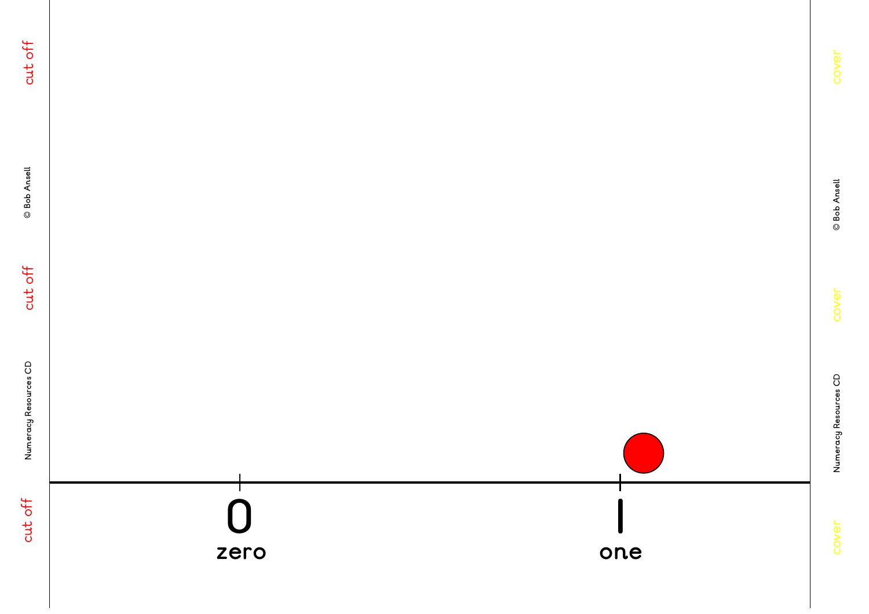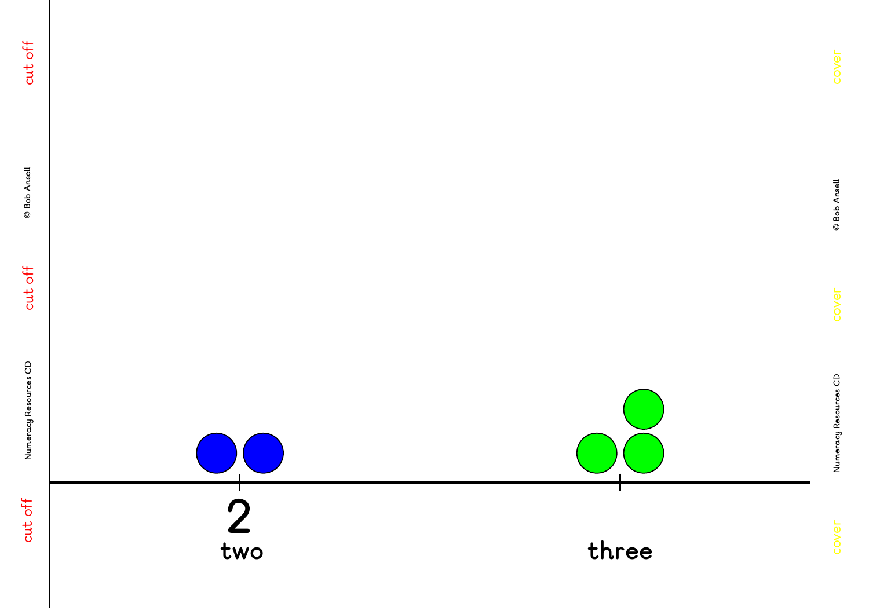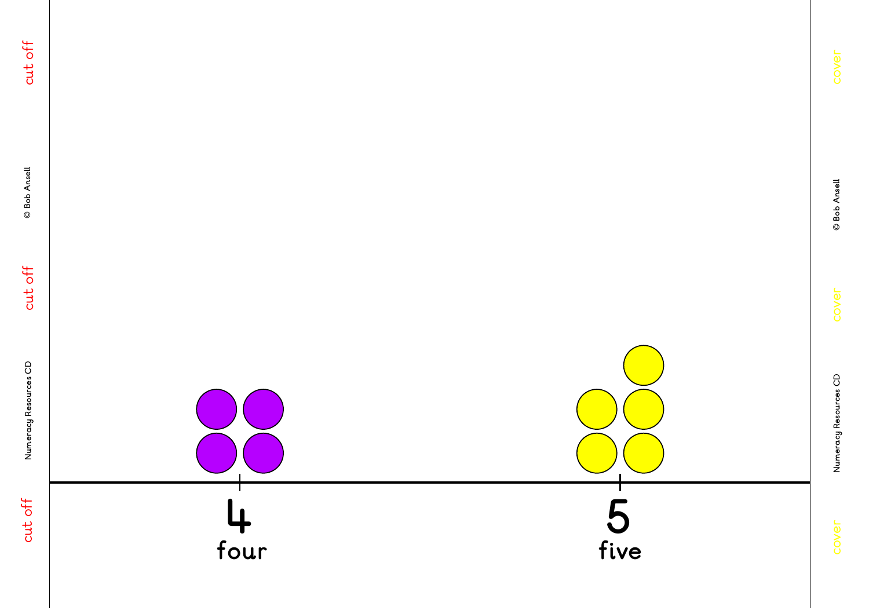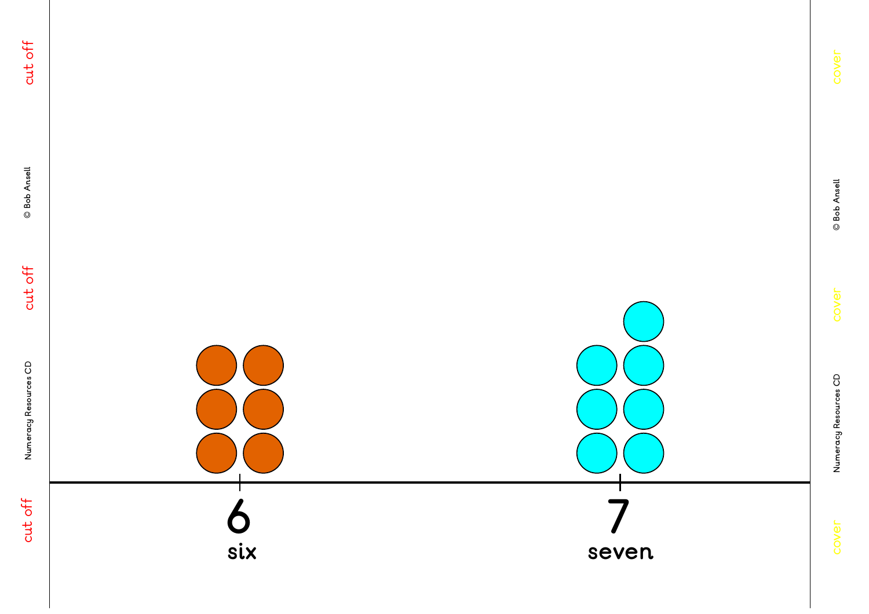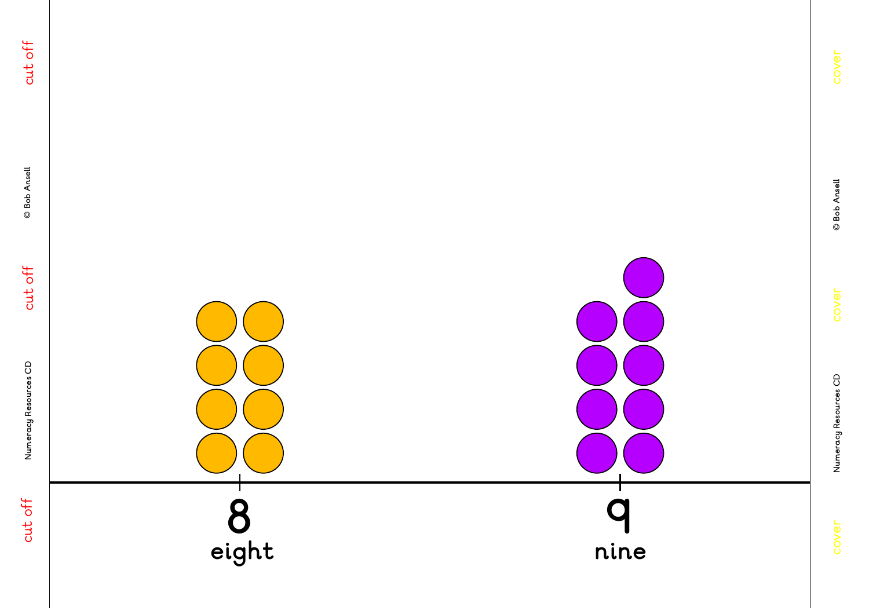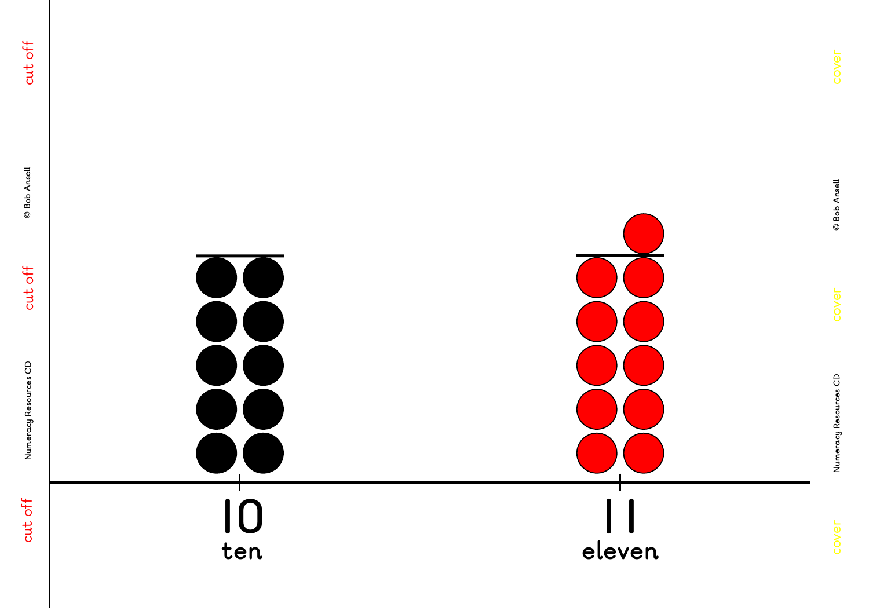![](_page_5_Figure_0.jpeg)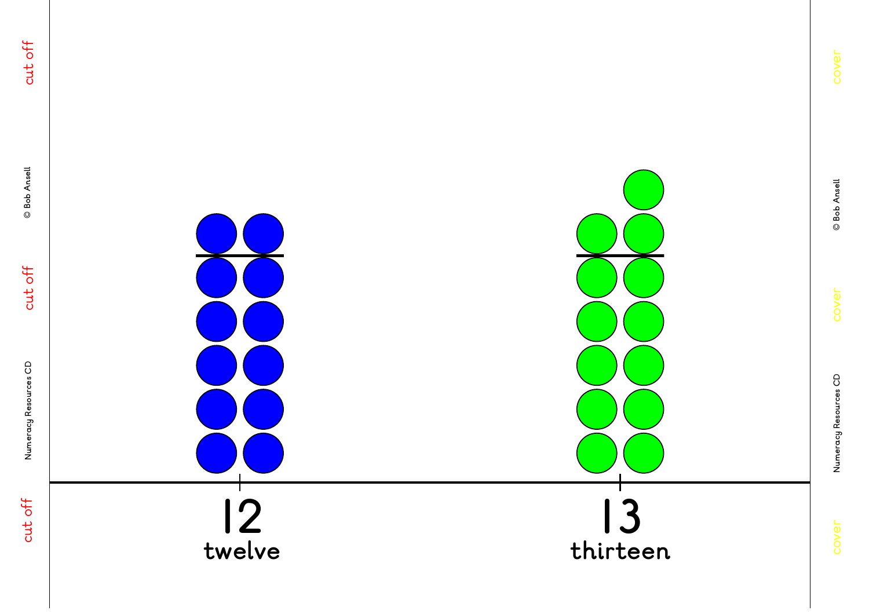![](_page_6_Figure_0.jpeg)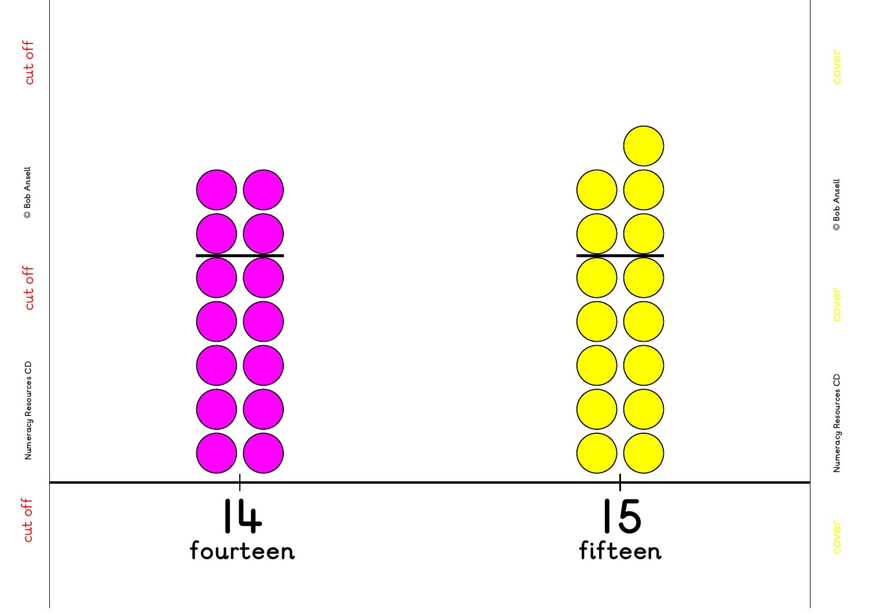![](_page_7_Figure_0.jpeg)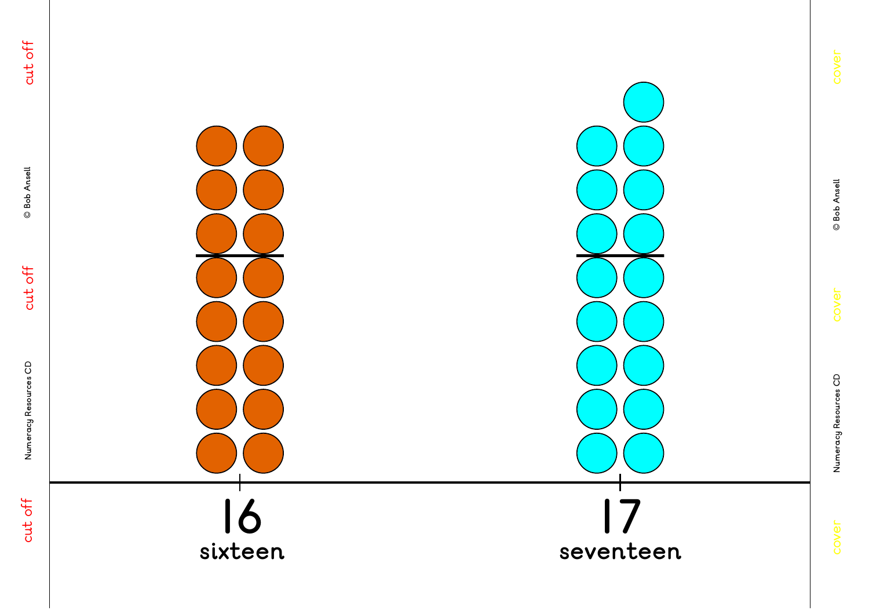![](_page_8_Figure_1.jpeg)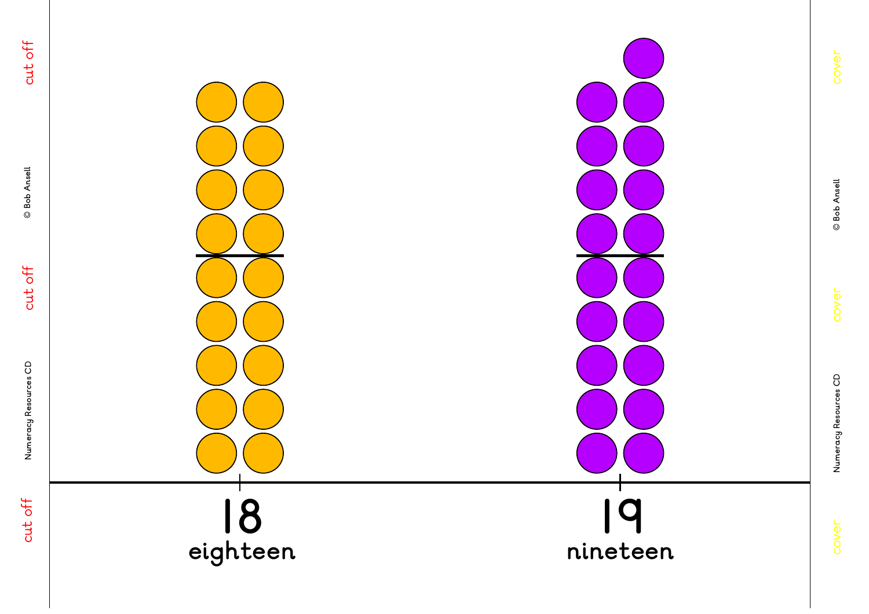![](_page_9_Figure_0.jpeg)